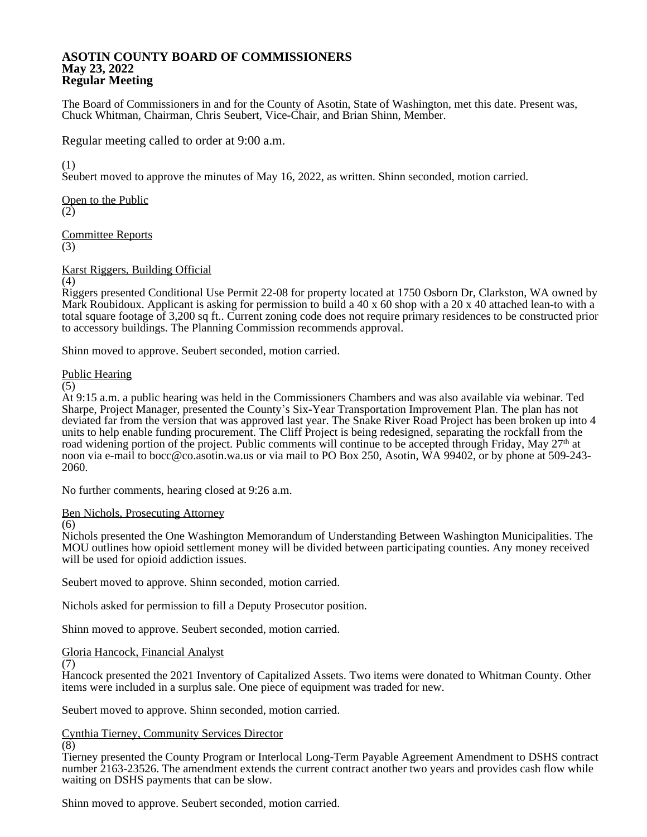### **ASOTIN COUNTY BOARD OF COMMISSIONERS May 23, 2022 Regular Meeting**

The Board of Commissioners in and for the County of Asotin, State of Washington, met this date. Present was, Chuck Whitman, Chairman, Chris Seubert, Vice-Chair, and Brian Shinn, Member.

Regular meeting called to order at 9:00 a.m.

(1)

Seubert moved to approve the minutes of May 16, 2022, as written. Shinn seconded, motion carried.

Open to the Public (2)

Committee Reports (3)

Karst Riggers, Building Official

(4)

Riggers presented Conditional Use Permit 22-08 for property located at 1750 Osborn Dr, Clarkston, WA owned by Mark Roubidoux. Applicant is asking for permission to build a 40 x 60 shop with a 20 x 40 attached lean-to with a total square footage of 3,200 sq ft.. Current zoning code does not require primary residences to be constructed prior to accessory buildings. The Planning Commission recommends approval.

Shinn moved to approve. Seubert seconded, motion carried.

### Public Hearing

(5)

At 9:15 a.m. a public hearing was held in the Commissioners Chambers and was also available via webinar. Ted Sharpe, Project Manager, presented the County's Six-Year Transportation Improvement Plan. The plan has not deviated far from the version that was approved last year. The Snake River Road Project has been broken up into 4 units to help enable funding procurement. The Cliff Project is being redesigned, separating the rockfall from the road widening portion of the project. Public comments will continue to be accepted through Friday, May 27th at noon via e-mail to bocc@co.asotin.wa.us or via mail to PO Box 250, Asotin, WA 99402, or by phone at 509-243- 2060.

No further comments, hearing closed at 9:26 a.m.

Ben Nichols, Prosecuting Attorney

(6)

Nichols presented the One Washington Memorandum of Understanding Between Washington Municipalities. The MOU outlines how opioid settlement money will be divided between participating counties. Any money received will be used for opioid addiction issues.

Seubert moved to approve. Shinn seconded, motion carried.

Nichols asked for permission to fill a Deputy Prosecutor position.

Shinn moved to approve. Seubert seconded, motion carried.

# Gloria Hancock, Financial Analyst

(7)

Hancock presented the 2021 Inventory of Capitalized Assets. Two items were donated to Whitman County. Other items were included in a surplus sale. One piece of equipment was traded for new.

Seubert moved to approve. Shinn seconded, motion carried.

# Cynthia Tierney, Community Services Director

(8)

Tierney presented the County Program or Interlocal Long-Term Payable Agreement Amendment to DSHS contract number 2163-23526. The amendment extends the current contract another two years and provides cash flow while waiting on DSHS payments that can be slow.

Shinn moved to approve. Seubert seconded, motion carried.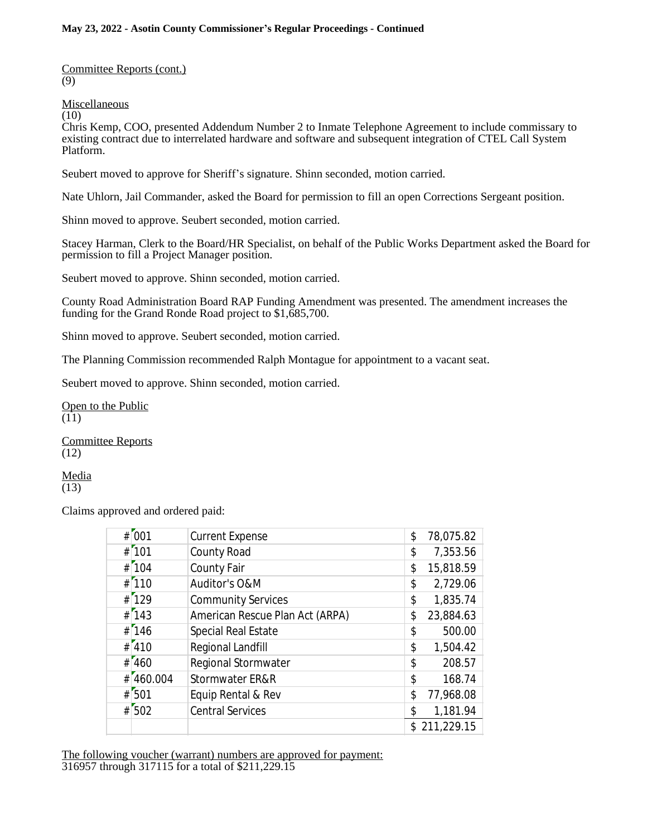Committee Reports (cont.) (9)

**Miscellaneous** 

(10)

Chris Kemp, COO, presented Addendum Number 2 to Inmate Telephone Agreement to include commissary to existing contract due to interrelated hardware and software and subsequent integration of CTEL Call System Platform.

Seubert moved to approve for Sheriff's signature. Shinn seconded, motion carried.

Nate Uhlorn, Jail Commander, asked the Board for permission to fill an open Corrections Sergeant position.

Shinn moved to approve. Seubert seconded, motion carried.

Stacey Harman, Clerk to the Board/HR Specialist, on behalf of the Public Works Department asked the Board for permission to fill a Project Manager position.

Seubert moved to approve. Shinn seconded, motion carried.

County Road Administration Board RAP Funding Amendment was presented. The amendment increases the funding for the Grand Ronde Road project to \$1,685,700.

Shinn moved to approve. Seubert seconded, motion carried.

The Planning Commission recommended Ralph Montague for appointment to a vacant seat.

Seubert moved to approve. Shinn seconded, motion carried.

Open to the Public  $(11)$ 

Committee Reports (12)

Media (13)

Claims approved and ordered paid:

|   | # 001     | <b>Current Expense</b>          | \$  | 78,075.82  |
|---|-----------|---------------------------------|-----|------------|
|   | # 101     | County Road                     | \$  | 7,353.56   |
|   | # 104     | County Fair                     | \$  | 15,818.59  |
|   | $#$ [110  | Auditor's O&M                   | \$  | 2,729.06   |
|   | $#$ [129  | <b>Community Services</b>       | \$  | 1,835.74   |
|   | # 143     | American Rescue Plan Act (ARPA) | \$  | 23,884.63  |
| # | 146       | Special Real Estate             | \$  | 500.00     |
|   | # 410     | Regional Landfill               | \$  | 1,504.42   |
|   | #1460     | Regional Stormwater             | \$  | 208.57     |
| # | [460.004] | Stormwater ER&R                 | \$  | 168.74     |
| # | [501]     | Equip Rental & Rev              | \$  | 77,968.08  |
|   | $#$ 502   | <b>Central Services</b>         | \$  | 1,181.94   |
|   |           |                                 | \$. | 211,229.15 |

The following voucher (warrant) numbers are approved for payment: 316957 through 317115 for a total of \$211,229.15